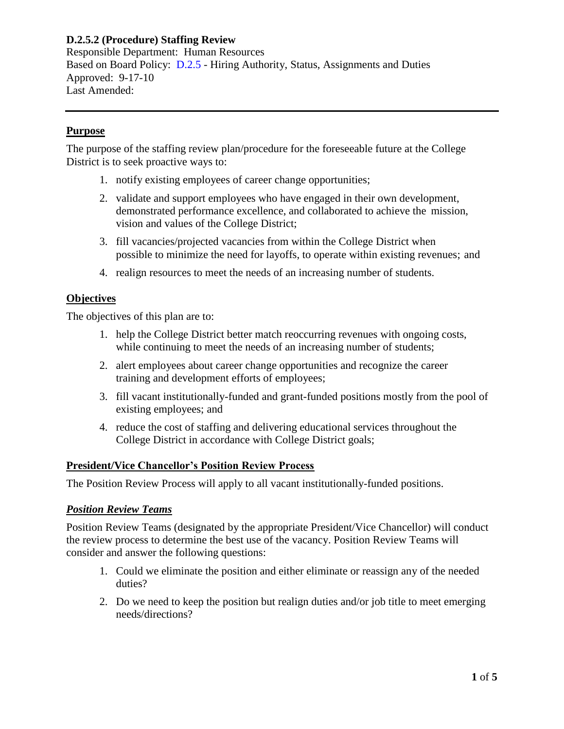Responsible Department: Human Resources Based on Board Policy: [D.2.5](https://www.alamo.edu/siteassets/district/about-us/leadership/board-of-trustees/policies-pdfs/section-d/d.2.5-policy.pdf) - Hiring Authority, Status, Assignments and Duties Approved: 9-17-10 Last Amended:

## **Purpose**

The purpose of the staffing review plan/procedure for the foreseeable future at the College District is to seek proactive ways to:

- 1. notify existing employees of career change opportunities;
- 2. validate and support employees who have engaged in their own development, demonstrated performance excellence, and collaborated to achieve the mission, vision and values of the College District;
- 3. fill vacancies/projected vacancies from within the College District when possible to minimize the need for layoffs, to operate within existing revenues; and
- 4. realign resources to meet the needs of an increasing number of students.

### **Objectives**

The objectives of this plan are to:

- 1. help the College District better match reoccurring revenues with ongoing costs, while continuing to meet the needs of an increasing number of students;
- 2. alert employees about career change opportunities and recognize the career training and development efforts of employees;
- 3. fill vacant institutionally-funded and grant-funded positions mostly from the pool of existing employees; and
- 4. reduce the cost of staffing and delivering educational services throughout the College District in accordance with College District goals;

### **President/Vice Chancellor's Position Review Process**

The Position Review Process will apply to all vacant institutionally-funded positions.

### *Position Review Teams*

Position Review Teams (designated by the appropriate President/Vice Chancellor) will conduct the review process to determine the best use of the vacancy. Position Review Teams will consider and answer the following questions:

- 1. Could we eliminate the position and either eliminate or reassign any of the needed duties?
- 2. Do we need to keep the position but realign duties and/or job title to meet emerging needs/directions?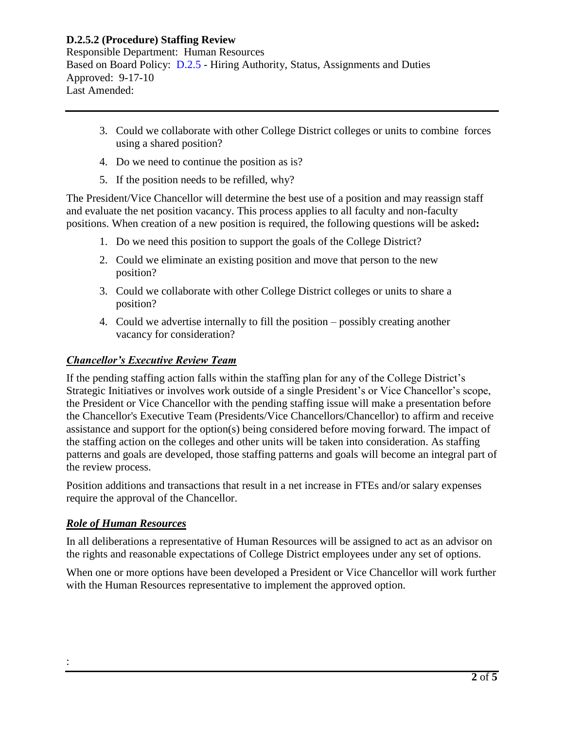Responsible Department: Human Resources Based on Board Policy: [D.2.5](https://www.alamo.edu/siteassets/district/about-us/leadership/board-of-trustees/policies-pdfs/section-d/d.2.5-policy.pdf) - Hiring Authority, Status, Assignments and Duties Approved: 9-17-10 Last Amended:

- 3. Could we collaborate with other College District colleges or units to combine forces using a shared position?
- 4. Do we need to continue the position as is?
- 5. If the position needs to be refilled, why?

The President/Vice Chancellor will determine the best use of a position and may reassign staff and evaluate the net position vacancy. This process applies to all faculty and non-faculty positions. When creation of a new position is required, the following questions will be asked**:**

- 1. Do we need this position to support the goals of the College District?
- 2. Could we eliminate an existing position and move that person to the new position?
- 3. Could we collaborate with other College District colleges or units to share a position?
- 4. Could we advertise internally to fill the position possibly creating another vacancy for consideration?

# *Chancellor's Executive Review Team*

If the pending staffing action falls within the staffing plan for any of the College District's Strategic Initiatives or involves work outside of a single President's or Vice Chancellor's scope, the President or Vice Chancellor with the pending staffing issue will make a presentation before the Chancellor's Executive Team (Presidents/Vice Chancellors/Chancellor) to affirm and receive assistance and support for the option(s) being considered before moving forward. The impact of the staffing action on the colleges and other units will be taken into consideration. As staffing patterns and goals are developed, those staffing patterns and goals will become an integral part of the review process.

Position additions and transactions that result in a net increase in FTEs and/or salary expenses require the approval of the Chancellor.

## *Role of Human Resources*

:

In all deliberations a representative of Human Resources will be assigned to act as an advisor on the rights and reasonable expectations of College District employees under any set of options.

When one or more options have been developed a President or Vice Chancellor will work further with the Human Resources representative to implement the approved option.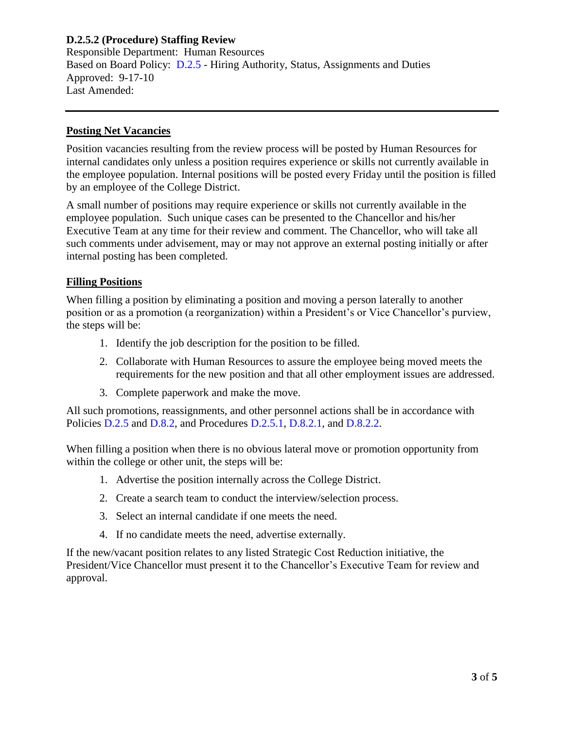Responsible Department: Human Resources Based on Board Policy: [D.2.5](https://www.alamo.edu/siteassets/district/about-us/leadership/board-of-trustees/policies-pdfs/section-d/d.2.5-policy.pdf) - Hiring Authority, Status, Assignments and Duties Approved: 9-17-10 Last Amended:

#### **Posting Net Vacancies**

Position vacancies resulting from the review process will be posted by Human Resources for internal candidates only unless a position requires experience or skills not currently available in the employee population. Internal positions will be posted every Friday until the position is filled by an employee of the College District.

A small number of positions may require experience or skills not currently available in the employee population. Such unique cases can be presented to the Chancellor and his/her Executive Team at any time for their review and comment. The Chancellor, who will take all such comments under advisement, may or may not approve an external posting initially or after internal posting has been completed.

### **Filling Positions**

When filling a position by eliminating a position and moving a person laterally to another position or as a promotion (a reorganization) within a President's or Vice Chancellor's purview, the steps will be:

- 1. Identify the job description for the position to be filled.
- 2. Collaborate with Human Resources to assure the employee being moved meets the requirements for the new position and that all other employment issues are addressed.
- 3. Complete paperwork and make the move.

All such promotions, reassignments, and other personnel actions shall be in accordance with Policies [D.2.5](https://www.alamo.edu/siteassets/district/about-us/leadership/board-of-trustees/policies-pdfs/section-d/d.2.5-policy.pdf) and [D.8.2,](https://www.alamo.edu/siteassets/district/about-us/leadership/board-of-trustees/policies-pdfs/section-d/d.8.2-policy.pdf) and Procedures [D.2.5.1,](https://www.alamo.edu/siteassets/district/about-us/leadership/board-of-trustees/policies-pdfs/section-d/d.2.5.1-procedure.pdf) [D.8.2.1,](https://www.alamo.edu/siteassets/district/about-us/leadership/board-of-trustees/policies-pdfs/section-d/d.8.2.1-procedure.pdf) and [D.8.2.2.](https://www.alamo.edu/siteassets/district/about-us/leadership/board-of-trustees/policies-pdfs/section-d/d.8.2.2-procedure.pdf)

When filling a position when there is no obvious lateral move or promotion opportunity from within the college or other unit, the steps will be:

- 1. Advertise the position internally across the College District.
- 2. Create a search team to conduct the interview/selection process.
- 3. Select an internal candidate if one meets the need.
- 4. If no candidate meets the need, advertise externally.

If the new/vacant position relates to any listed Strategic Cost Reduction initiative, the President/Vice Chancellor must present it to the Chancellor's Executive Team for review and approval.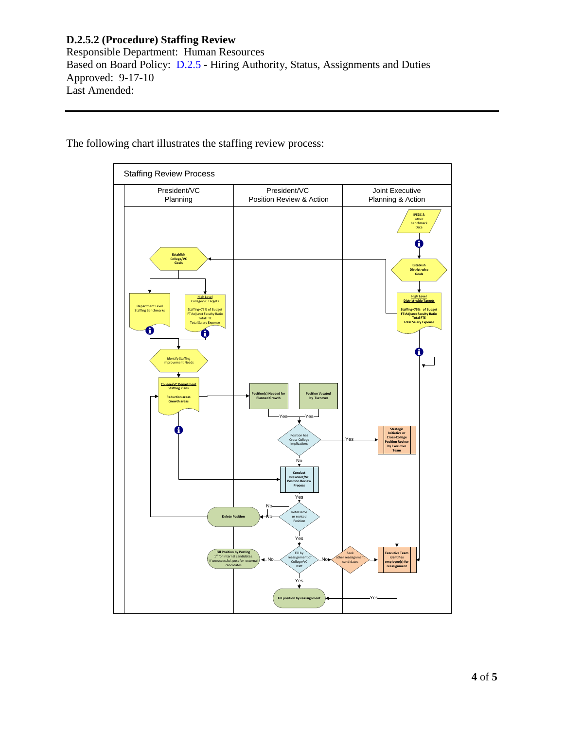Responsible Department: Human Resources Based on Board Policy: [D.2.5](https://www.alamo.edu/siteassets/district/about-us/leadership/board-of-trustees/policies-pdfs/section-d/d.2.5-policy.pdf) - Hiring Authority, Status, Assignments and Duties Approved: 9-17-10 Last Amended:



The following chart illustrates the staffing review process: